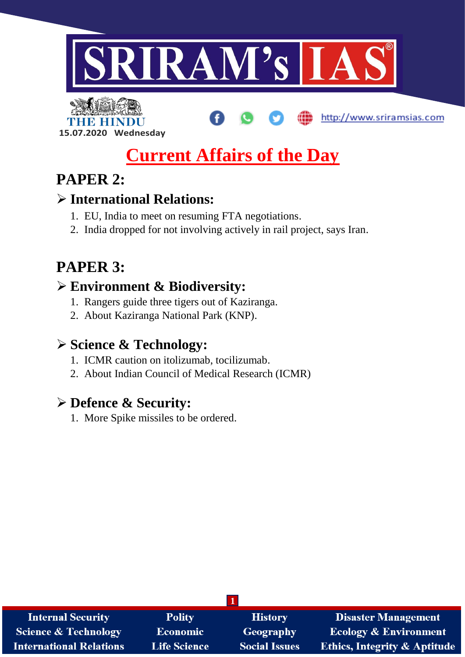

http://www.sriramsias.com

# **Current Affairs of the Day**

# **PAPER 2:**

THE BELLET

**15.07.2020 Wednesday**

### **International Relations:**

- 1. EU, India to meet on resuming FTA negotiations.
- 2. India dropped for not involving actively in rail project, says Iran.

# **PAPER 3:**

# **Environment & Biodiversity:**

- 1. Rangers guide three tigers out of Kaziranga.
- 2. About Kaziranga National Park (KNP).

# **Science & Technology:**

- 1. ICMR caution on itolizumab, tocilizumab.
- 2. About Indian Council of Medical Research (ICMR)

# **Defence & Security:**

1. More Spike missiles to be ordered.

| <b>Internal Security</b>        | <b>Polity</b>       | <b>History</b>       | <b>Disaster Management</b>              |  |
|---------------------------------|---------------------|----------------------|-----------------------------------------|--|
| <b>Science &amp; Technology</b> | <b>Economic</b>     | Geography            | <b>Ecology &amp; Environment</b>        |  |
| <b>International Relations</b>  | <b>Life Science</b> | <b>Social Issues</b> | <b>Ethics, Integrity &amp; Aptitude</b> |  |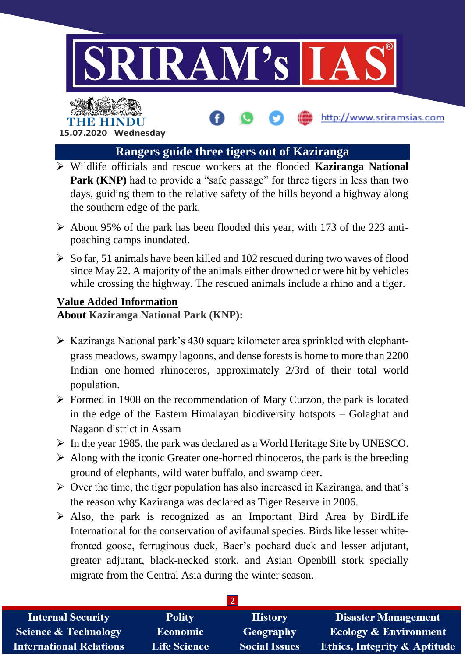

**15.07.2020 Wednesday**

#### **Rangers guide three tigers out of Kaziranga**

- Wildlife officials and rescue workers at the flooded **Kaziranga National Park (KNP)** had to provide a "safe passage" for three tigers in less than two days, guiding them to the relative safety of the hills beyond a highway along the southern edge of the park.
- $\triangleright$  About 95% of the park has been flooded this year, with 173 of the 223 antipoaching camps inundated.
- $\triangleright$  So far, 51 animals have been killed and 102 rescued during two waves of flood since May 22. A majority of the animals either drowned or were hit by vehicles while crossing the highway. The rescued animals include a rhino and a tiger.

#### **Value Added Information**

**About Kaziranga National Park (KNP):**

- $\triangleright$  Kaziranga National park's 430 square kilometer area sprinkled with elephantgrass meadows, swampy lagoons, and dense forests is home to more than 2200 Indian one-horned rhinoceros, approximately 2/3rd of their total world population.
- $\triangleright$  Formed in 1908 on the recommendation of Mary Curzon, the park is located in the edge of the Eastern Himalayan biodiversity hotspots – Golaghat and Nagaon district in Assam
- $\triangleright$  In the year 1985, the park was declared as a World Heritage Site by UNESCO.
- $\triangleright$  Along with the iconic Greater one-horned rhinoceros, the park is the breeding ground of elephants, wild water buffalo, and swamp deer.
- $\triangleright$  Over the time, the tiger population has also increased in Kaziranga, and that's the reason why Kaziranga was declared as Tiger Reserve in 2006.
- $\triangleright$  Also, the park is recognized as an Important Bird Area by BirdLife International for the conservation of avifaunal species. Birds like lesser whitefronted goose, ferruginous duck, Baer's pochard duck and lesser adjutant, greater adjutant, black-necked stork, and Asian Openbill stork specially migrate from the Central Asia during the winter season.

| <b>Internal Security</b>        | <b>Polity</b>       | <b>History</b>       | <b>Disaster Management</b>              |
|---------------------------------|---------------------|----------------------|-----------------------------------------|
| <b>Science &amp; Technology</b> | <b>Economic</b>     | Geography            | <b>Ecology &amp; Environment</b>        |
| <b>International Relations</b>  | <b>Life Science</b> | <b>Social Issues</b> | <b>Ethics, Integrity &amp; Aptitude</b> |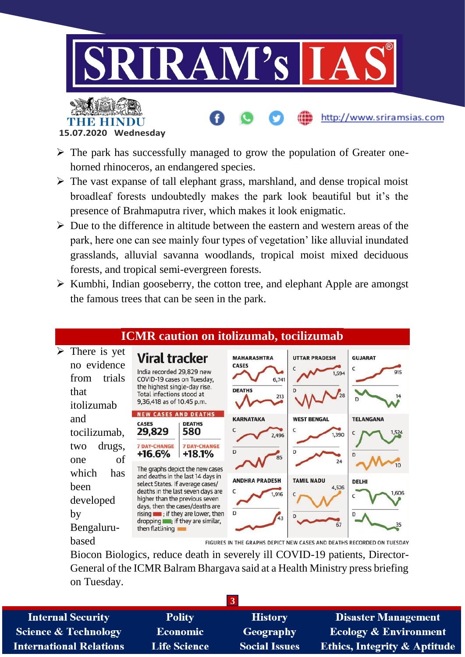

**15.07.2020 Wednesday**

- $\triangleright$  The park has successfully managed to grow the population of Greater onehorned rhinoceros, an endangered species.
- $\triangleright$  The vast expanse of tall elephant grass, marshland, and dense tropical moist broadleaf forests undoubtedly makes the park look beautiful but it's the presence of Brahmaputra river, which makes it look enigmatic.
- $\triangleright$  Due to the difference in altitude between the eastern and western areas of the park, here one can see mainly four types of vegetation' like alluvial inundated grasslands, alluvial savanna woodlands, tropical moist mixed deciduous forests, and tropical semi-evergreen forests.
- $\triangleright$  Kumbhi, Indian gooseberry, the cotton tree, and elephant Apple are amongst the famous trees that can be seen in the park.



Biocon Biologics, reduce death in severely ill COVID-19 patients, Director-General of the ICMR Balram Bhargava said at a Health Ministry press briefing on Tuesday.

| <b>Internal Security</b>        | <b>Polity</b>       | <b>History</b>       | <b>Disaster Management</b>              |  |
|---------------------------------|---------------------|----------------------|-----------------------------------------|--|
| <b>Science &amp; Technology</b> | <b>Economic</b>     | Geography            | <b>Ecology &amp; Environment</b>        |  |
| <b>International Relations</b>  | <b>Life Science</b> | <b>Social Issues</b> | <b>Ethics, Integrity &amp; Aptitude</b> |  |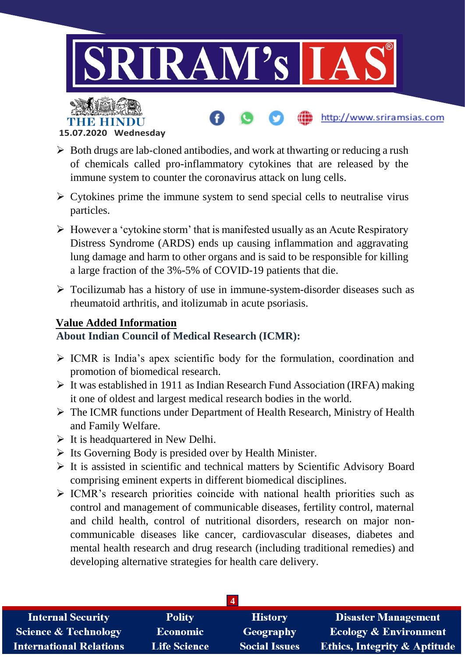

**15.07.2020 Wednesday**

- $\triangleright$  Both drugs are lab-cloned antibodies, and work at thwarting or reducing a rush of chemicals called pro-inflammatory cytokines that are released by the immune system to counter the coronavirus attack on lung cells.
- $\triangleright$  Cytokines prime the immune system to send special cells to neutralise virus particles.
- $\triangleright$  However a 'cytokine storm' that is manifested usually as an Acute Respiratory Distress Syndrome (ARDS) ends up causing inflammation and aggravating lung damage and harm to other organs and is said to be responsible for killing a large fraction of the 3%-5% of COVID-19 patients that die.
- $\triangleright$  Tocilizumab has a history of use in immune-system-disorder diseases such as rheumatoid arthritis, and itolizumab in acute psoriasis.

#### **Value Added Information**

#### **About Indian Council of Medical Research (ICMR):**

- $\triangleright$  ICMR is India's apex scientific body for the formulation, coordination and promotion of biomedical research.
- $\triangleright$  It was established in 1911 as Indian Research Fund Association (IRFA) making it one of oldest and largest medical research bodies in the world.
- The ICMR functions under Department of Health Research, Ministry of Health and Family Welfare.
- $\triangleright$  It is headquartered in New Delhi.
- $\triangleright$  Its Governing Body is presided over by Health Minister.
- $\triangleright$  It is assisted in scientific and technical matters by Scientific Advisory Board comprising eminent experts in different biomedical disciplines.
- $\triangleright$  ICMR's research priorities coincide with national health priorities such as control and management of communicable diseases, fertility control, maternal and child health, control of nutritional disorders, research on major noncommunicable diseases like cancer, cardiovascular diseases, diabetes and mental health research and drug research (including traditional remedies) and developing alternative strategies for health care delivery.

| <b>Internal Security</b>        | <b>Polity</b>       | <b>History</b>       | <b>Disaster Management</b>              |  |
|---------------------------------|---------------------|----------------------|-----------------------------------------|--|
| <b>Science &amp; Technology</b> | <b>Economic</b>     | Geography            | <b>Ecology &amp; Environment</b>        |  |
| <b>International Relations</b>  | <b>Life Science</b> | <b>Social Issues</b> | <b>Ethics, Integrity &amp; Aptitude</b> |  |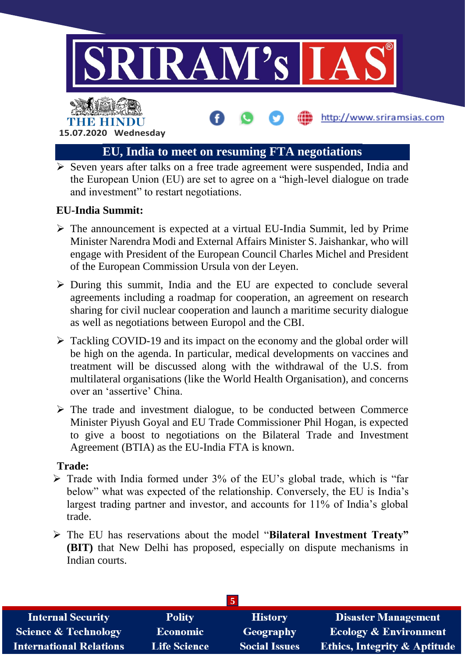

#### **EU, India to meet on resuming FTA negotiations**

 $\triangleright$  Seven years after talks on a free trade agreement were suspended. India and the European Union (EU) are set to agree on a "high-level dialogue on trade and investment" to restart negotiations.

#### **EU-India Summit:**

- $\triangleright$  The announcement is expected at a virtual EU-India Summit, led by Prime Minister Narendra Modi and External Affairs Minister S. Jaishankar, who will engage with President of the European Council Charles Michel and President of the European Commission Ursula von der Leyen.
- $\triangleright$  During this summit, India and the EU are expected to conclude several agreements including a roadmap for cooperation, an agreement on research sharing for civil nuclear cooperation and launch a maritime security dialogue as well as negotiations between Europol and the CBI.
- $\triangleright$  Tackling COVID-19 and its impact on the economy and the global order will be high on the agenda. In particular, medical developments on vaccines and treatment will be discussed along with the withdrawal of the U.S. from multilateral organisations (like the World Health Organisation), and concerns over an 'assertive' China.
- $\triangleright$  The trade and investment dialogue, to be conducted between Commerce Minister Piyush Goyal and EU Trade Commissioner Phil Hogan, is expected to give a boost to negotiations on the Bilateral Trade and Investment Agreement (BTIA) as the EU-India FTA is known.

#### **Trade:**

- $\triangleright$  Trade with India formed under 3% of the EU's global trade, which is "far" below" what was expected of the relationship. Conversely, the EU is India's largest trading partner and investor, and accounts for 11% of India's global trade.
- The EU has reservations about the model "**Bilateral Investment Treaty" (BIT)** that New Delhi has proposed, especially on dispute mechanisms in Indian courts.

| 5                               |                     |                      |                                         |  |
|---------------------------------|---------------------|----------------------|-----------------------------------------|--|
| <b>Internal Security</b>        | <b>Polity</b>       | <b>History</b>       | <b>Disaster Management</b>              |  |
| <b>Science &amp; Technology</b> | <b>Economic</b>     | Geography            | <b>Ecology &amp; Environment</b>        |  |
| <b>International Relations</b>  | <b>Life Science</b> | <b>Social Issues</b> | <b>Ethics, Integrity &amp; Aptitude</b> |  |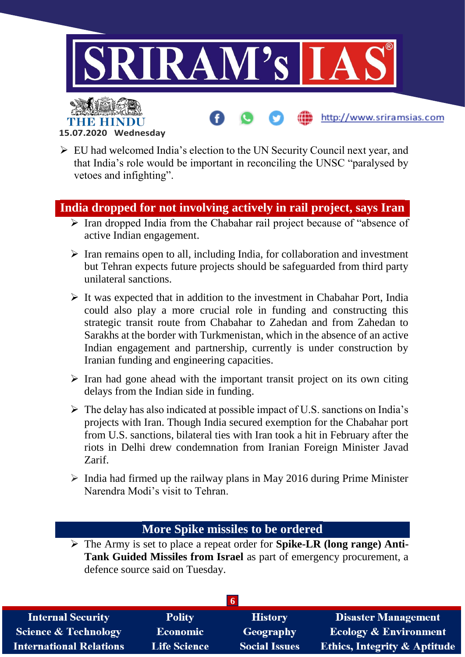

- **15.07.2020 Wednesday**
- EU had welcomed India's election to the UN Security Council next year, and that India's role would be important in reconciling the UNSC "paralysed by vetoes and infighting".

#### **India dropped for not involving actively in rail project, says Iran**

- $\triangleright$  Iran dropped India from the Chabahar rail project because of "absence of active Indian engagement.
- $\triangleright$  Iran remains open to all, including India, for collaboration and investment but Tehran expects future projects should be safeguarded from third party unilateral sanctions.
- $\triangleright$  It was expected that in addition to the investment in Chabahar Port, India could also play a more crucial role in funding and constructing this strategic transit route from Chabahar to Zahedan and from Zahedan to Sarakhs at the border with Turkmenistan, which in the absence of an active Indian engagement and partnership, currently is under construction by Iranian funding and engineering capacities.
- $\triangleright$  Iran had gone ahead with the important transit project on its own citing delays from the Indian side in funding.
- $\triangleright$  The delay has also indicated at possible impact of U.S. sanctions on India's projects with Iran. Though India secured exemption for the Chabahar port from U.S. sanctions, bilateral ties with Iran took a hit in February after the riots in Delhi drew condemnation from Iranian Foreign Minister Javad Zarif.
- $\triangleright$  India had firmed up the railway plans in May 2016 during Prime Minister Narendra Modi's visit to Tehran.

#### **More Spike missiles to be ordered**

 The Army is set to place a repeat order for **Spike-LR (long range) Anti-Tank Guided Missiles from Israel** as part of emergency procurement, a defence source said on Tuesday.

| <b>Internal Security</b>        | <b>Polity</b>       | <b>History</b>       | <b>Disaster Management</b>              |
|---------------------------------|---------------------|----------------------|-----------------------------------------|
| <b>Science &amp; Technology</b> | <b>Economic</b>     | Geography            | <b>Ecology &amp; Environment</b>        |
| <b>International Relations</b>  | <b>Life Science</b> | <b>Social Issues</b> | <b>Ethics, Integrity &amp; Aptitude</b> |